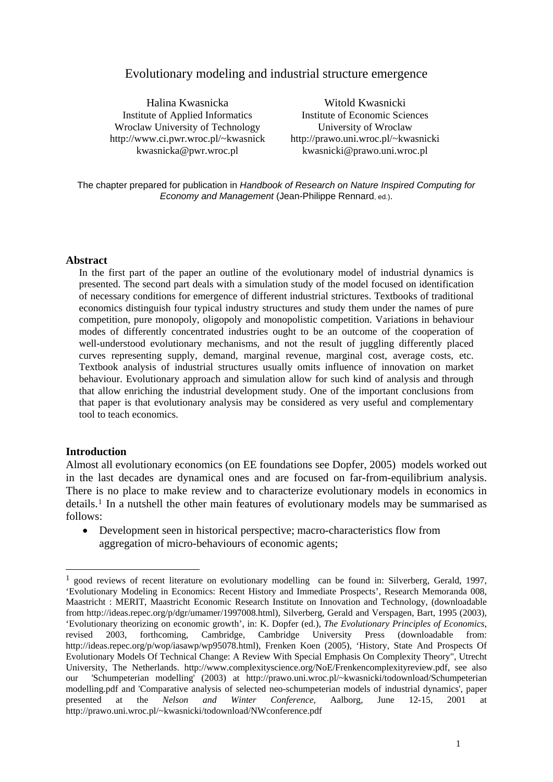# Evolutionary modeling and industrial structure emergence

Halina Kwasnicka Institute of Applied Informatics Wroclaw University of Technology http://www.ci.pwr.wroc.pl/~kwasnick kwasnicka@pwr.wroc.pl

Witold Kwasnicki Institute of Economic Sciences University of Wroclaw http://prawo.uni.wroc.pl/~kwasnicki kwasnicki@prawo.uni.wroc.pl

The chapter prepared for publication in *Handbook of Research on Nature Inspired Computing for Economy and Management* (Jean-Philippe Rennard, ed.).

### **Abstract**

In the first part of the paper an outline of the evolutionary model of industrial dynamics is presented. The second part deals with a simulation study of the model focused on identification of necessary conditions for emergence of different industrial strictures. Textbooks of traditional economics distinguish four typical industry structures and study them under the names of pure competition, pure monopoly, oligopoly and monopolistic competition. Variations in behaviour modes of differently concentrated industries ought to be an outcome of the cooperation of well-understood evolutionary mechanisms, and not the result of juggling differently placed curves representing supply, demand, marginal revenue, marginal cost, average costs, etc. Textbook analysis of industrial structures usually omits influence of innovation on market behaviour. Evolutionary approach and simulation allow for such kind of analysis and through that allow enriching the industrial development study. One of the important conclusions from that paper is that evolutionary analysis may be considered as very useful and complementary tool to teach economics.

### **Introduction**

 $\overline{a}$ 

Almost all evolutionary economics (on EE foundations see Dopfer, 2005) models worked out in the last decades are dynamical ones and are focused on far-from-equilibrium analysis. There is no place to make review and to characterize evolutionary models in economics in details.[1](#page-0-0) In a nutshell the other main features of evolutionary models may be summarised as follows:

• Development seen in historical perspective; macro-characteristics flow from aggregation of micro-behaviours of economic agents;

<span id="page-0-0"></span><sup>&</sup>lt;sup>1</sup> good reviews of recent literature on evolutionary modelling can be found in: Silverberg, Gerald, 1997, 'Evolutionary Modeling in Economics: Recent History and Immediate Prospects', Research Memoranda 008, Maastricht : MERIT, Maastricht Economic Research Institute on Innovation and Technology, (downloadable from http://ideas.repec.org/p/dgr/umamer/1997008.html), Silverberg, Gerald and Verspagen, Bart, 1995 (2003), 'Evolutionary theorizing on economic growth', in: K. Dopfer (ed.), *The Evolutionary Principles of Economics*, revised 2003, forthcoming, Cambridge, Cambridge University Press (downloadable from: http://ideas.repec.org/p/wop/iasawp/wp95078.html), Frenken Koen (2005), 'History, State And Prospects Of Evolutionary Models Of Technical Change: A Review With Special Emphasis On Complexity Theory", Utrecht University, The Netherlands. http://www.complexityscience.org/NoE/Frenkencomplexityreview.pdf, see also our 'Schumpeterian modelling' (2003) at http://prawo.uni.wroc.pl/~kwasnicki/todownload/Schumpeterian modelling.pdf and 'Comparative analysis of selected neo-schumpeterian models of industrial dynamics', paper presented at the *Nelson and Winter Conference*, Aalborg, June 12-15, 2001 at http://prawo.uni.wroc.pl/~kwasnicki/todownload/NWconference.pdf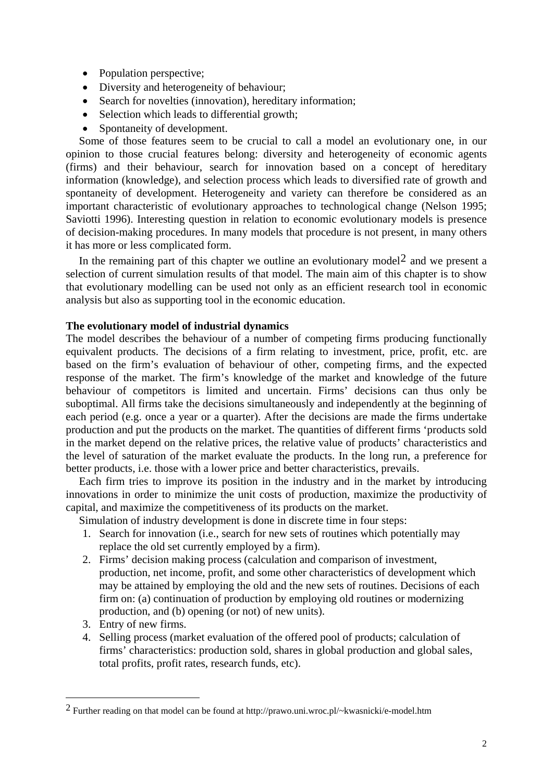- Population perspective;
- Diversity and heterogeneity of behaviour;
- Search for novelties (innovation), hereditary information;
- Selection which leads to differential growth;
- Spontaneity of development.

Some of those features seem to be crucial to call a model an evolutionary one, in our opinion to those crucial features belong: diversity and heterogeneity of economic agents (firms) and their behaviour, search for innovation based on a concept of hereditary information (knowledge), and selection process which leads to diversified rate of growth and spontaneity of development. Heterogeneity and variety can therefore be considered as an important characteristic of evolutionary approaches to technological change (Nelson 1995; Saviotti 1996). Interesting question in relation to economic evolutionary models is presence of decision-making procedures. In many models that procedure is not present, in many others it has more or less complicated form.

In the remaining part of this chapter we outline an evolutionary model<sup>[2](#page-1-0)</sup> and we present a selection of current simulation results of that model. The main aim of this chapter is to show that evolutionary modelling can be used not only as an efficient research tool in economic analysis but also as supporting tool in the economic education.

## **The evolutionary model of industrial dynamics**

The model describes the behaviour of a number of competing firms producing functionally equivalent products. The decisions of a firm relating to investment, price, profit, etc. are based on the firm's evaluation of behaviour of other, competing firms, and the expected response of the market. The firm's knowledge of the market and knowledge of the future behaviour of competitors is limited and uncertain. Firms' decisions can thus only be suboptimal. All firms take the decisions simultaneously and independently at the beginning of each period (e.g. once a year or a quarter). After the decisions are made the firms undertake production and put the products on the market. The quantities of different firms 'products sold in the market depend on the relative prices, the relative value of products' characteristics and the level of saturation of the market evaluate the products. In the long run, a preference for better products, i.e. those with a lower price and better characteristics, prevails.

Each firm tries to improve its position in the industry and in the market by introducing innovations in order to minimize the unit costs of production, maximize the productivity of capital, and maximize the competitiveness of its products on the market.

Simulation of industry development is done in discrete time in four steps:

- 1. Search for innovation (i.e., search for new sets of routines which potentially may replace the old set currently employed by a firm).
- 2. Firms' decision making process (calculation and comparison of investment, production, net income, profit, and some other characteristics of development which may be attained by employing the old and the new sets of routines. Decisions of each firm on: (a) continuation of production by employing old routines or modernizing production, and (b) opening (or not) of new units).
- 3. Entry of new firms.

-

4. Selling process (market evaluation of the offered pool of products; calculation of firms' characteristics: production sold, shares in global production and global sales, total profits, profit rates, research funds, etc).

<span id="page-1-0"></span><sup>2</sup> Further reading on that model can be found at http://prawo.uni.wroc.pl/~kwasnicki/e-model.htm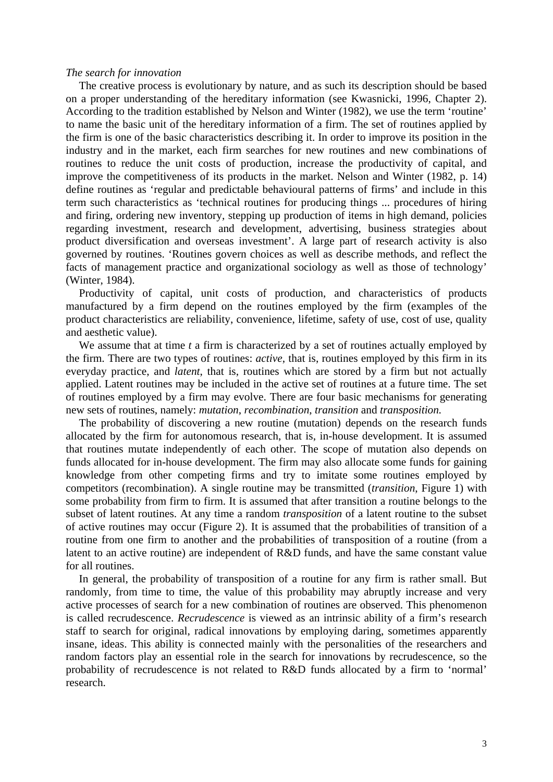#### *The search for innovation*

The creative process is evolutionary by nature, and as such its description should be based on a proper understanding of the hereditary information (see Kwasnicki, 1996, Chapter 2). According to the tradition established by Nelson and Winter (1982), we use the term 'routine' to name the basic unit of the hereditary information of a firm. The set of routines applied by the firm is one of the basic characteristics describing it. In order to improve its position in the industry and in the market, each firm searches for new routines and new combinations of routines to reduce the unit costs of production, increase the productivity of capital, and improve the competitiveness of its products in the market. Nelson and Winter (1982, p. 14) define routines as 'regular and predictable behavioural patterns of firms' and include in this term such characteristics as 'technical routines for producing things ... procedures of hiring and firing, ordering new inventory, stepping up production of items in high demand, policies regarding investment, research and development, advertising, business strategies about product diversification and overseas investment'. A large part of research activity is also governed by routines. 'Routines govern choices as well as describe methods, and reflect the facts of management practice and organizational sociology as well as those of technology' (Winter, 1984).

Productivity of capital, unit costs of production, and characteristics of products manufactured by a firm depend on the routines employed by the firm (examples of the product characteristics are reliability, convenience, lifetime, safety of use, cost of use, quality and aesthetic value).

We assume that at time *t* a firm is characterized by a set of routines actually employed by the firm. There are two types of routines: *active*, that is, routines employed by this firm in its everyday practice, and *latent*, that is, routines which are stored by a firm but not actually applied. Latent routines may be included in the active set of routines at a future time. The set of routines employed by a firm may evolve. There are four basic mechanisms for generating new sets of routines, namely: *mutation*, *recombination*, *transition* and *transposition.*

The probability of discovering a new routine (mutation) depends on the research funds allocated by the firm for autonomous research, that is, in-house development. It is assumed that routines mutate independently of each other. The scope of mutation also depends on funds allocated for in-house development. The firm may also allocate some funds for gaining knowledge from other competing firms and try to imitate some routines employed by competitors (recombination). A single routine may be transmitted (*transition*, Figure 1) with some probability from firm to firm. It is assumed that after transition a routine belongs to the subset of latent routines. At any time a random *transposition* of a latent routine to the subset of active routines may occur (Figure 2). It is assumed that the probabilities of transition of a routine from one firm to another and the probabilities of transposition of a routine (from a latent to an active routine) are independent of R&D funds, and have the same constant value for all routines.

In general, the probability of transposition of a routine for any firm is rather small. But randomly, from time to time, the value of this probability may abruptly increase and very active processes of search for a new combination of routines are observed. This phenomenon is called recrudescence. *Recrudescence* is viewed as an intrinsic ability of a firm's research staff to search for original, radical innovations by employing daring, sometimes apparently insane, ideas. This ability is connected mainly with the personalities of the researchers and random factors play an essential role in the search for innovations by recrudescence, so the probability of recrudescence is not related to R&D funds allocated by a firm to 'normal' research.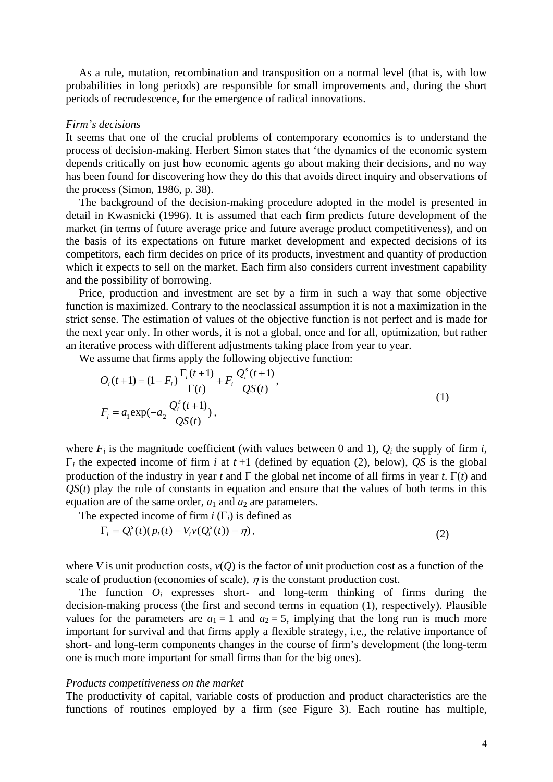As a rule, mutation, recombination and transposition on a normal level (that is, with low probabilities in long periods) are responsible for small improvements and, during the short periods of recrudescence, for the emergence of radical innovations.

#### *Firm's decisions*

It seems that one of the crucial problems of contemporary economics is to understand the process of decision-making. Herbert Simon states that 'the dynamics of the economic system depends critically on just how economic agents go about making their decisions, and no way has been found for discovering how they do this that avoids direct inquiry and observations of the process (Simon, 1986, p. 38).

The background of the decision-making procedure adopted in the model is presented in detail in Kwasnicki (1996). It is assumed that each firm predicts future development of the market (in terms of future average price and future average product competitiveness), and on the basis of its expectations on future market development and expected decisions of its competitors, each firm decides on price of its products, investment and quantity of production which it expects to sell on the market. Each firm also considers current investment capability and the possibility of borrowing.

Price, production and investment are set by a firm in such a way that some objective function is maximized. Contrary to the neoclassical assumption it is not a maximization in the strict sense. The estimation of values of the objective function is not perfect and is made for the next year only. In other words, it is not a global, once and for all, optimization, but rather an iterative process with different adjustments taking place from year to year.

We assume that firms apply the following objective function:

$$
O_i(t+1) = (1 - F_i) \frac{\Gamma_i(t+1)}{\Gamma(t)} + F_i \frac{Q_i^s(t+1)}{QS(t)},
$$
  
\n
$$
F_i = a_1 \exp(-a_2 \frac{Q_i^s(t+1)}{QS(t)}),
$$
\n(1)

where  $F_i$  is the magnitude coefficient (with values between 0 and 1),  $Q_i$  the supply of firm *i*,  $\Gamma_i$  the expected income of firm *i* at  $t+1$  (defined by equation (2), below), *QS* is the global production of the industry in year *t* and Γ the global net income of all firms in year *t*. Γ(*t*) and *QS*(*t*) play the role of constants in equation and ensure that the values of both terms in this equation are of the same order,  $a_1$  and  $a_2$  are parameters.

The expected income of firm  $i(\Gamma_i)$  is defined as

$$
\Gamma_i = Q_i^s(t)(p_i(t) - V_i v(Q_i^s(t)) - \eta),
$$
\n(2)

where *V* is unit production costs,  $v(Q)$  is the factor of unit production cost as a function of the scale of production (economies of scale),  $\eta$  is the constant production cost.

The function  $O_i$  expresses short- and long-term thinking of firms during the decision-making process (the first and second terms in equation (1), respectively). Plausible values for the parameters are  $a_1 = 1$  and  $a_2 = 5$ , implying that the long run is much more important for survival and that firms apply a flexible strategy, i.e., the relative importance of short- and long-term components changes in the course of firm's development (the long-term one is much more important for small firms than for the big ones).

#### *Products competitiveness on the market*

The productivity of capital, variable costs of production and product characteristics are the functions of routines employed by a firm (see Figure 3). Each routine has multiple,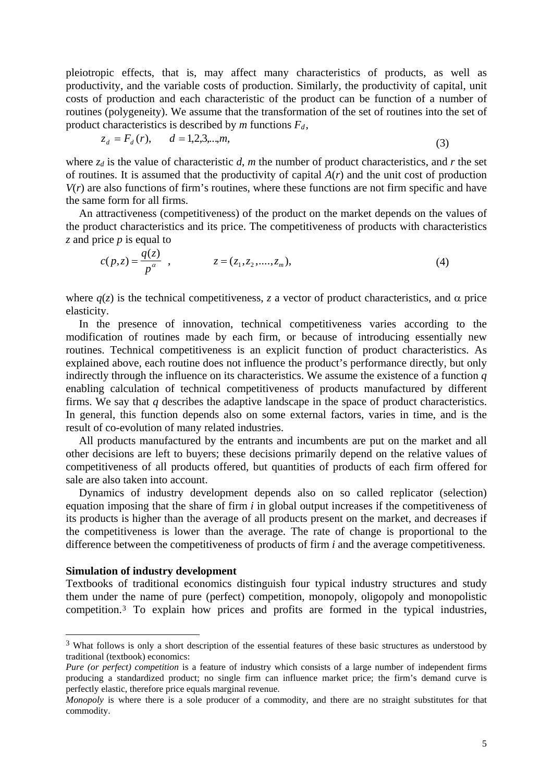pleiotropic effects, that is, may affect many characteristics of products, as well as productivity, and the variable costs of production. Similarly, the productivity of capital, unit costs of production and each characteristic of the product can be function of a number of routines (polygeneity). We assume that the transformation of the set of routines into the set of product characteristics is described by *m* functions  $F_d$ ,

$$
z_d = F_d(r), \qquad d = 1, 2, 3, \dots, m,\tag{3}
$$

where  $z_d$  is the value of characteristic *d*, *m* the number of product characteristics, and *r* the set of routines. It is assumed that the productivity of capital *A*(*r*) and the unit cost of production  $V(r)$  are also functions of firm's routines, where these functions are not firm specific and have the same form for all firms.

An attractiveness (competitiveness) of the product on the market depends on the values of the product characteristics and its price. The competitiveness of products with characteristics *z* and price *p* is equal to

$$
c(p,z) = \frac{q(z)}{p^{\alpha}} , \qquad z = (z_1, z_2, \dots, z_m), \qquad (4)
$$

where  $q(z)$  is the technical competitiveness, *z* a vector of product characteristics, and  $\alpha$  price elasticity.

In the presence of innovation, technical competitiveness varies according to the modification of routines made by each firm, or because of introducing essentially new routines. Technical competitiveness is an explicit function of product characteristics. As explained above, each routine does not influence the product's performance directly, but only indirectly through the influence on its characteristics. We assume the existence of a function *q*  enabling calculation of technical competitiveness of products manufactured by different firms. We say that *q* describes the adaptive landscape in the space of product characteristics. In general, this function depends also on some external factors, varies in time, and is the result of co-evolution of many related industries.

All products manufactured by the entrants and incumbents are put on the market and all other decisions are left to buyers; these decisions primarily depend on the relative values of competitiveness of all products offered, but quantities of products of each firm offered for sale are also taken into account.

Dynamics of industry development depends also on so called replicator (selection) equation imposing that the share of firm *i* in global output increases if the competitiveness of its products is higher than the average of all products present on the market, and decreases if the competitiveness is lower than the average. The rate of change is proportional to the difference between the competitiveness of products of firm *i* and the average competitiveness.

#### **Simulation of industry development**

-

Textbooks of traditional economics distinguish four typical industry structures and study them under the name of pure (perfect) competition, monopoly, oligopoly and monopolistic competition.[3](#page-4-0) To explain how prices and profits are formed in the typical industries,

<span id="page-4-0"></span><sup>&</sup>lt;sup>3</sup> What follows is only a short description of the essential features of these basic structures as understood by traditional (textbook) economics:

*Pure (or perfect) competition* is a feature of industry which consists of a large number of independent firms producing a standardized product; no single firm can influence market price; the firm's demand curve is perfectly elastic, therefore price equals marginal revenue.

*Monopoly* is where there is a sole producer of a commodity, and there are no straight substitutes for that commodity.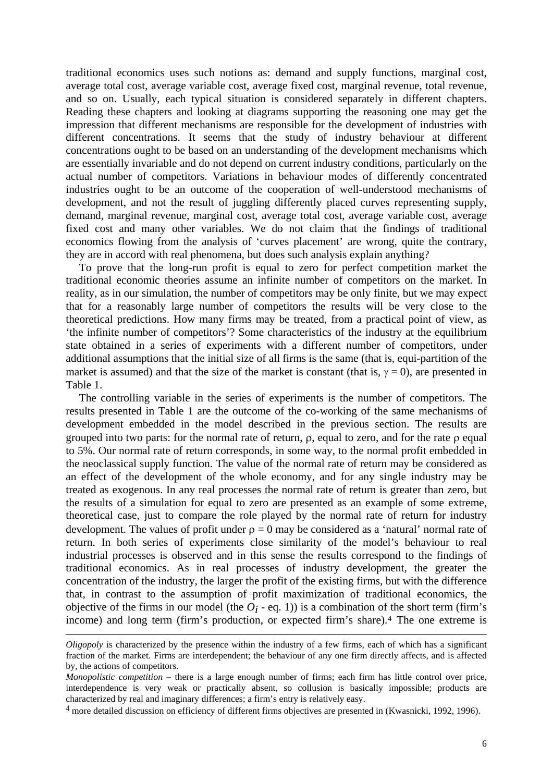traditional economics uses such notions as: demand and supply functions, marginal cost, average total cost, average variable cost, average fixed cost, marginal revenue, total revenue, and so on. Usually, each typical situation is considered separately in different chapters. Reading these chapters and looking at diagrams supporting the reasoning one may get the impression that different mechanisms are responsible for the development of industries with different concentrations. It seems that the study of industry behaviour at different concentrations ought to be based on an understanding of the development mechanisms which are essentially invariable and do not depend on current industry conditions, particularly on the actual number of competitors. Variations in behaviour modes of differently concentrated industries ought to be an outcome of the cooperation of well-understood mechanisms of development, and not the result of juggling differently placed curves representing supply, demand, marginal revenue, marginal cost, average total cost, average variable cost, average fixed cost and many other variables. We do not claim that the findings of traditional economics flowing from the analysis of 'curves placement' are wrong, quite the contrary, they are in accord with real phenomena, but does such analysis explain anything?

To prove that the long-run profit is equal to zero for perfect competition market the traditional economic theories assume an infinite number of competitors on the market. In reality, as in our simulation, the number of competitors may be only finite, but we may expect that for a reasonably large number of competitors the results will be very close to the theoretical predictions. How many firms may be treated, from a practical point of view, as 'the infinite number of competitors'? Some characteristics of the industry at the equilibrium state obtained in a series of experiments with a different number of competitors, under additional assumptions that the initial size of all firms is the same (that is, equi-partition of the market is assumed) and that the size of the market is constant (that is,  $\gamma = 0$ ), are presented in Table 1.

The controlling variable in the series of experiments is the number of competitors. The results presented in Table 1 are the outcome of the co-working of the same mechanisms of development embedded in the model described in the previous section. The results are grouped into two parts: for the normal rate of return, ρ, equal to zero, and for the rate ρ equal to 5%. Our normal rate of return corresponds, in some way, to the normal profit embedded in the neoclassical supply function. The value of the normal rate of return may be considered as an effect of the development of the whole economy, and for any single industry may be treated as exogenous. In any real processes the normal rate of return is greater than zero, but the results of a simulation for equal to zero are presented as an example of some extreme, theoretical case, just to compare the role played by the normal rate of return for industry development. The values of profit under  $\rho = 0$  may be considered as a 'natural' normal rate of return. In both series of experiments close similarity of the model's behaviour to real industrial processes is observed and in this sense the results correspond to the findings of traditional economics. As in real processes of industry development, the greater the concentration of the industry, the larger the profit of the existing firms, but with the difference that, in contrast to the assumption of profit maximization of traditional economics, the objective of the firms in our model (the  $\ddot{O}_i$  - eq. 1)) is a combination of the short term (firm's income) and long term (firm's production, or expected firm's share).[4](#page-5-0) The one extreme is

-

*Oligopoly* is characterized by the presence within the industry of a few firms, each of which has a significant fraction of the market. Firms are interdependent; the behaviour of any one firm directly affects, and is affected by, the actions of competitors.

*Monopolistic competition* – there is a large enough number of firms; each firm has little control over price, interdependence is very weak or practically absent, so collusion is basically impossible; products are characterized by real and imaginary differences; a firm's entry is relatively easy.

<span id="page-5-0"></span><sup>4</sup> more detailed discussion on efficiency of different firms objectives are presented in (Kwasnicki, 1992, 1996).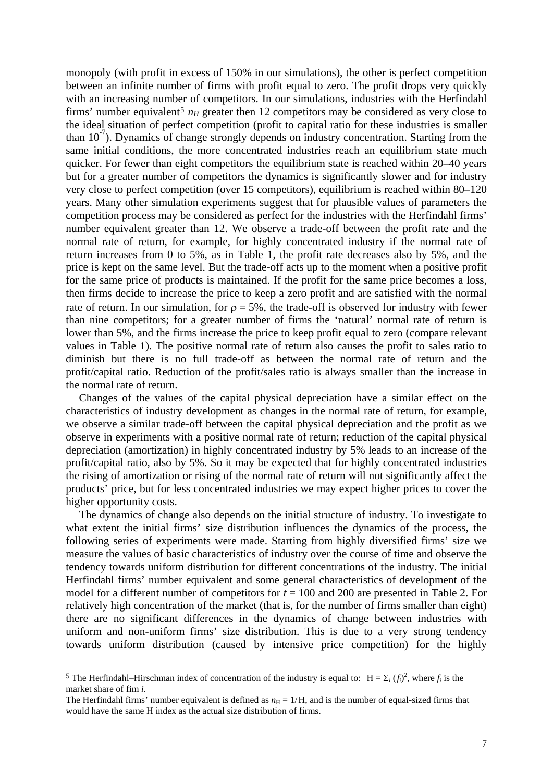monopoly (with profit in excess of 150% in our simulations), the other is perfect competition between an infinite number of firms with profit equal to zero. The profit drops very quickly with an increasing number of competitors. In our simulations, industries with the Herfindahl firms' number equivalent<sup>[5](#page-6-0)</sup>  $n_H$  greater then 12 competitors may be considered as very close to the ideal situation of perfect competition (profit to capital ratio for these industries is smaller than  $10^{-7}$ ). Dynamics of change strongly depends on industry concentration. Starting from the same initial conditions, the more concentrated industries reach an equilibrium state much quicker. For fewer than eight competitors the equilibrium state is reached within 20–40 years but for a greater number of competitors the dynamics is significantly slower and for industry very close to perfect competition (over 15 competitors), equilibrium is reached within 80–120 years. Many other simulation experiments suggest that for plausible values of parameters the competition process may be considered as perfect for the industries with the Herfindahl firms' number equivalent greater than 12. We observe a trade-off between the profit rate and the normal rate of return, for example, for highly concentrated industry if the normal rate of return increases from 0 to 5%, as in Table 1, the profit rate decreases also by 5%, and the price is kept on the same level. But the trade-off acts up to the moment when a positive profit for the same price of products is maintained. If the profit for the same price becomes a loss, then firms decide to increase the price to keep a zero profit and are satisfied with the normal rate of return. In our simulation, for  $\rho = 5\%$ , the trade-off is observed for industry with fewer than nine competitors; for a greater number of firms the 'natural' normal rate of return is lower than 5%, and the firms increase the price to keep profit equal to zero (compare relevant values in Table 1). The positive normal rate of return also causes the profit to sales ratio to diminish but there is no full trade-off as between the normal rate of return and the profit/capital ratio. Reduction of the profit/sales ratio is always smaller than the increase in the normal rate of return.

Changes of the values of the capital physical depreciation have a similar effect on the characteristics of industry development as changes in the normal rate of return, for example, we observe a similar trade-off between the capital physical depreciation and the profit as we observe in experiments with a positive normal rate of return; reduction of the capital physical depreciation (amortization) in highly concentrated industry by 5% leads to an increase of the profit/capital ratio, also by 5%. So it may be expected that for highly concentrated industries the rising of amortization or rising of the normal rate of return will not significantly affect the products' price, but for less concentrated industries we may expect higher prices to cover the higher opportunity costs.

The dynamics of change also depends on the initial structure of industry. To investigate to what extent the initial firms' size distribution influences the dynamics of the process, the following series of experiments were made. Starting from highly diversified firms' size we measure the values of basic characteristics of industry over the course of time and observe the tendency towards uniform distribution for different concentrations of the industry. The initial Herfindahl firms' number equivalent and some general characteristics of development of the model for a different number of competitors for  $t = 100$  and 200 are presented in Table 2. For relatively high concentration of the market (that is, for the number of firms smaller than eight) there are no significant differences in the dynamics of change between industries with uniform and non-uniform firms' size distribution. This is due to a very strong tendency towards uniform distribution (caused by intensive price competition) for the highly

-

<span id="page-6-0"></span><sup>&</sup>lt;sup>5</sup> The Herfindahl–Hirschman index of concentration of the industry is equal to:  $H = \sum_i (f_i)^2$ , where  $f_i$  is the market share of fim *i*.

The Herfindahl firms' number equivalent is defined as  $n<sub>H</sub> = 1/H$ , and is the number of equal-sized firms that would have the same H index as the actual size distribution of firms.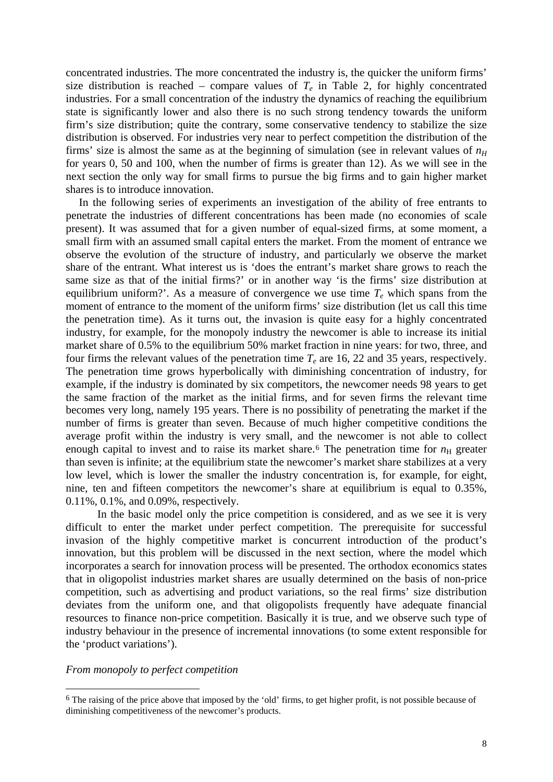concentrated industries. The more concentrated the industry is, the quicker the uniform firms' size distribution is reached – compare values of  $T_e$  in Table 2, for highly concentrated industries. For a small concentration of the industry the dynamics of reaching the equilibrium state is significantly lower and also there is no such strong tendency towards the uniform firm's size distribution; quite the contrary, some conservative tendency to stabilize the size distribution is observed. For industries very near to perfect competition the distribution of the firms' size is almost the same as at the beginning of simulation (see in relevant values of  $n_H$ ) for years 0, 50 and 100, when the number of firms is greater than 12). As we will see in the next section the only way for small firms to pursue the big firms and to gain higher market shares is to introduce innovation.

In the following series of experiments an investigation of the ability of free entrants to penetrate the industries of different concentrations has been made (no economies of scale present). It was assumed that for a given number of equal-sized firms, at some moment, a small firm with an assumed small capital enters the market. From the moment of entrance we observe the evolution of the structure of industry, and particularly we observe the market share of the entrant. What interest us is 'does the entrant's market share grows to reach the same size as that of the initial firms?' or in another way 'is the firms' size distribution at equilibrium uniform?'. As a measure of convergence we use time  $T_e$  which spans from the moment of entrance to the moment of the uniform firms' size distribution (let us call this time the penetration time). As it turns out, the invasion is quite easy for a highly concentrated industry, for example, for the monopoly industry the newcomer is able to increase its initial market share of 0.5% to the equilibrium 50% market fraction in nine years: for two, three, and four firms the relevant values of the penetration time  $T_e$  are 16, 22 and 35 years, respectively. The penetration time grows hyperbolically with diminishing concentration of industry, for example, if the industry is dominated by six competitors, the newcomer needs 98 years to get the same fraction of the market as the initial firms, and for seven firms the relevant time becomes very long, namely 195 years. There is no possibility of penetrating the market if the number of firms is greater than seven. Because of much higher competitive conditions the average profit within the industry is very small, and the newcomer is not able to collect enough capital to invest and to raise its market share.<sup>[6](#page-7-0)</sup> The penetration time for  $n<sub>H</sub>$  greater than seven is infinite; at the equilibrium state the newcomer's market share stabilizes at a very low level, which is lower the smaller the industry concentration is, for example, for eight, nine, ten and fifteen competitors the newcomer's share at equilibrium is equal to 0.35%, 0.11%, 0.1%, and 0.09%, respectively.

 In the basic model only the price competition is considered, and as we see it is very difficult to enter the market under perfect competition. The prerequisite for successful invasion of the highly competitive market is concurrent introduction of the product's innovation, but this problem will be discussed in the next section, where the model which incorporates a search for innovation process will be presented. The orthodox economics states that in oligopolist industries market shares are usually determined on the basis of non-price competition, such as advertising and product variations, so the real firms' size distribution deviates from the uniform one, and that oligopolists frequently have adequate financial resources to finance non-price competition. Basically it is true, and we observe such type of industry behaviour in the presence of incremental innovations (to some extent responsible for the 'product variations').

*From monopoly to perfect competition* 

-

<span id="page-7-0"></span><sup>&</sup>lt;sup>6</sup> The raising of the price above that imposed by the 'old' firms, to get higher profit, is not possible because of diminishing competitiveness of the newcomer's products.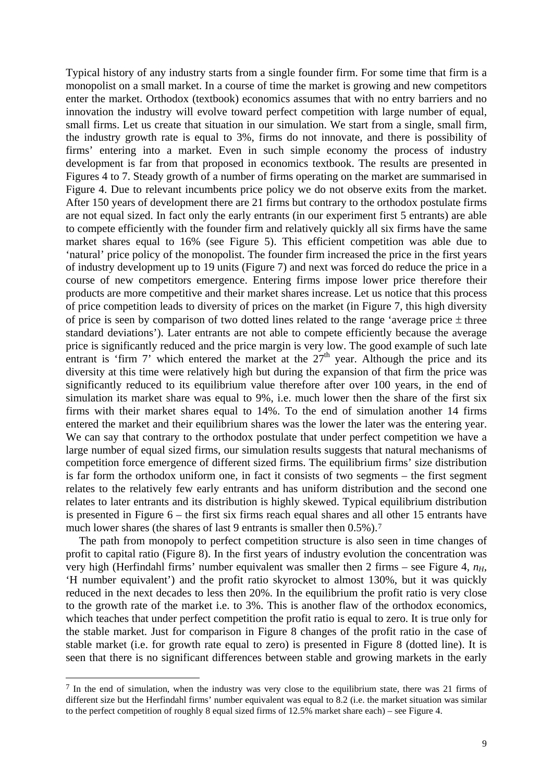Typical history of any industry starts from a single founder firm. For some time that firm is a monopolist on a small market. In a course of time the market is growing and new competitors enter the market. Orthodox (textbook) economics assumes that with no entry barriers and no innovation the industry will evolve toward perfect competition with large number of equal, small firms. Let us create that situation in our simulation. We start from a single, small firm, the industry growth rate is equal to 3%, firms do not innovate, and there is possibility of firms' entering into a market. Even in such simple economy the process of industry development is far from that proposed in economics textbook. The results are presented in Figures 4 to 7. Steady growth of a number of firms operating on the market are summarised in Figure 4. Due to relevant incumbents price policy we do not observe exits from the market. After 150 years of development there are 21 firms but contrary to the orthodox postulate firms are not equal sized. In fact only the early entrants (in our experiment first 5 entrants) are able to compete efficiently with the founder firm and relatively quickly all six firms have the same market shares equal to 16% (see Figure 5). This efficient competition was able due to 'natural' price policy of the monopolist. The founder firm increased the price in the first years of industry development up to 19 units (Figure 7) and next was forced do reduce the price in a course of new competitors emergence. Entering firms impose lower price therefore their products are more competitive and their market shares increase. Let us notice that this process of price competition leads to diversity of prices on the market (in Figure 7, this high diversity of price is seen by comparison of two dotted lines related to the range 'average price  $\pm$  three standard deviations'). Later entrants are not able to compete efficiently because the average price is significantly reduced and the price margin is very low. The good example of such late entrant is 'firm  $7$ ' which entered the market at the  $27<sup>th</sup>$  year. Although the price and its diversity at this time were relatively high but during the expansion of that firm the price was significantly reduced to its equilibrium value therefore after over 100 years, in the end of simulation its market share was equal to 9%, i.e. much lower then the share of the first six firms with their market shares equal to 14%. To the end of simulation another 14 firms entered the market and their equilibrium shares was the lower the later was the entering year. We can say that contrary to the orthodox postulate that under perfect competition we have a large number of equal sized firms, our simulation results suggests that natural mechanisms of competition force emergence of different sized firms. The equilibrium firms' size distribution is far form the orthodox uniform one, in fact it consists of two segments – the first segment relates to the relatively few early entrants and has uniform distribution and the second one relates to later entrants and its distribution is highly skewed. Typical equilibrium distribution is presented in Figure 6 – the first six firms reach equal shares and all other 15 entrants have much lower shares (the shares of last 9 entrants is smaller then 0.5%).[7](#page-8-0)

The path from monopoly to perfect competition structure is also seen in time changes of profit to capital ratio (Figure 8). In the first years of industry evolution the concentration was very high (Herfindahl firms' number equivalent was smaller then 2 firms – see Figure 4,  $n_H$ , 'H number equivalent') and the profit ratio skyrocket to almost 130%, but it was quickly reduced in the next decades to less then 20%. In the equilibrium the profit ratio is very close to the growth rate of the market i.e. to 3%. This is another flaw of the orthodox economics, which teaches that under perfect competition the profit ratio is equal to zero. It is true only for the stable market. Just for comparison in Figure 8 changes of the profit ratio in the case of stable market (i.e. for growth rate equal to zero) is presented in Figure 8 (dotted line). It is seen that there is no significant differences between stable and growing markets in the early

1

<span id="page-8-0"></span><sup>7</sup> In the end of simulation, when the industry was very close to the equilibrium state, there was 21 firms of different size but the Herfindahl firms' number equivalent was equal to 8.2 (i.e. the market situation was similar to the perfect competition of roughly 8 equal sized firms of 12.5% market share each) – see Figure 4.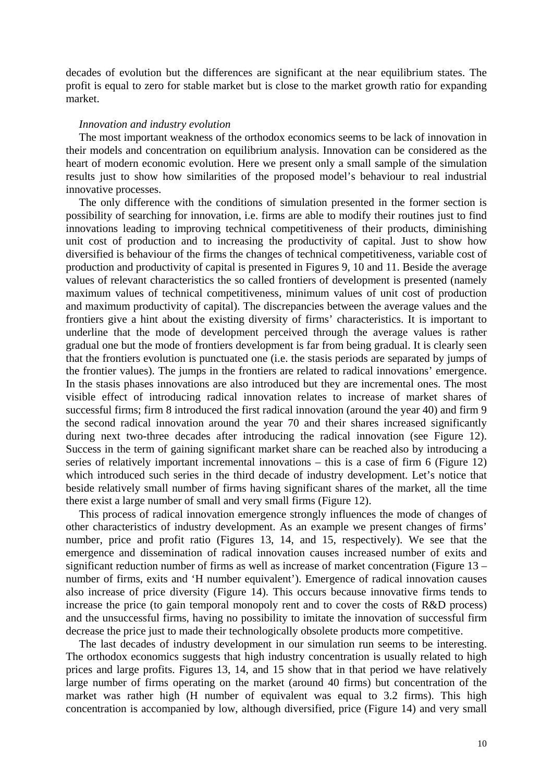decades of evolution but the differences are significant at the near equilibrium states. The profit is equal to zero for stable market but is close to the market growth ratio for expanding market.

#### *Innovation and industry evolution*

The most important weakness of the orthodox economics seems to be lack of innovation in their models and concentration on equilibrium analysis. Innovation can be considered as the heart of modern economic evolution. Here we present only a small sample of the simulation results just to show how similarities of the proposed model's behaviour to real industrial innovative processes.

The only difference with the conditions of simulation presented in the former section is possibility of searching for innovation, i.e. firms are able to modify their routines just to find innovations leading to improving technical competitiveness of their products, diminishing unit cost of production and to increasing the productivity of capital. Just to show how diversified is behaviour of the firms the changes of technical competitiveness, variable cost of production and productivity of capital is presented in Figures 9, 10 and 11. Beside the average values of relevant characteristics the so called frontiers of development is presented (namely maximum values of technical competitiveness, minimum values of unit cost of production and maximum productivity of capital). The discrepancies between the average values and the frontiers give a hint about the existing diversity of firms' characteristics. It is important to underline that the mode of development perceived through the average values is rather gradual one but the mode of frontiers development is far from being gradual. It is clearly seen that the frontiers evolution is punctuated one (i.e. the stasis periods are separated by jumps of the frontier values). The jumps in the frontiers are related to radical innovations' emergence. In the stasis phases innovations are also introduced but they are incremental ones. The most visible effect of introducing radical innovation relates to increase of market shares of successful firms; firm 8 introduced the first radical innovation (around the year 40) and firm 9 the second radical innovation around the year 70 and their shares increased significantly during next two-three decades after introducing the radical innovation (see Figure 12). Success in the term of gaining significant market share can be reached also by introducing a series of relatively important incremental innovations – this is a case of firm 6 (Figure 12) which introduced such series in the third decade of industry development. Let's notice that beside relatively small number of firms having significant shares of the market, all the time there exist a large number of small and very small firms (Figure 12).

This process of radical innovation emergence strongly influences the mode of changes of other characteristics of industry development. As an example we present changes of firms' number, price and profit ratio (Figures 13, 14, and 15, respectively). We see that the emergence and dissemination of radical innovation causes increased number of exits and significant reduction number of firms as well as increase of market concentration (Figure 13 – number of firms, exits and 'H number equivalent'). Emergence of radical innovation causes also increase of price diversity (Figure 14). This occurs because innovative firms tends to increase the price (to gain temporal monopoly rent and to cover the costs of R&D process) and the unsuccessful firms, having no possibility to imitate the innovation of successful firm decrease the price just to made their technologically obsolete products more competitive.

The last decades of industry development in our simulation run seems to be interesting. The orthodox economics suggests that high industry concentration is usually related to high prices and large profits. Figures 13, 14, and 15 show that in that period we have relatively large number of firms operating on the market (around 40 firms) but concentration of the market was rather high (H number of equivalent was equal to 3.2 firms). This high concentration is accompanied by low, although diversified, price (Figure 14) and very small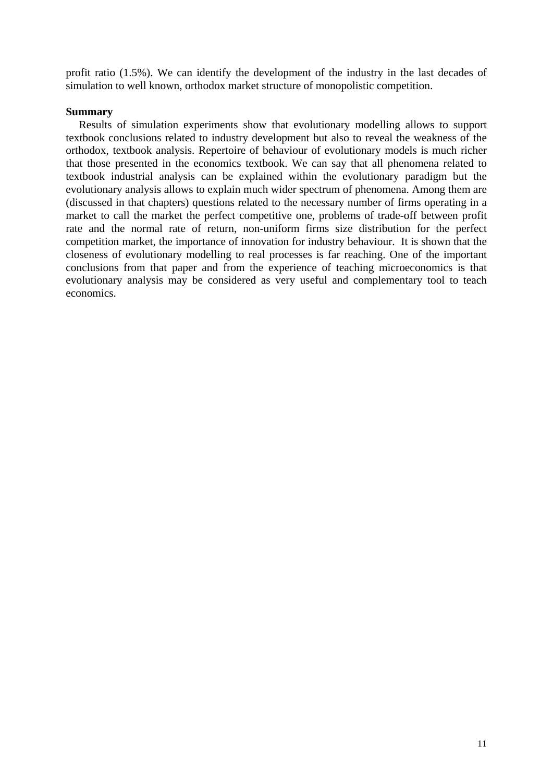profit ratio (1.5%). We can identify the development of the industry in the last decades of simulation to well known, orthodox market structure of monopolistic competition.

## **Summary**

Results of simulation experiments show that evolutionary modelling allows to support textbook conclusions related to industry development but also to reveal the weakness of the orthodox, textbook analysis. Repertoire of behaviour of evolutionary models is much richer that those presented in the economics textbook. We can say that all phenomena related to textbook industrial analysis can be explained within the evolutionary paradigm but the evolutionary analysis allows to explain much wider spectrum of phenomena. Among them are (discussed in that chapters) questions related to the necessary number of firms operating in a market to call the market the perfect competitive one, problems of trade-off between profit rate and the normal rate of return, non-uniform firms size distribution for the perfect competition market, the importance of innovation for industry behaviour. It is shown that the closeness of evolutionary modelling to real processes is far reaching. One of the important conclusions from that paper and from the experience of teaching microeconomics is that evolutionary analysis may be considered as very useful and complementary tool to teach economics.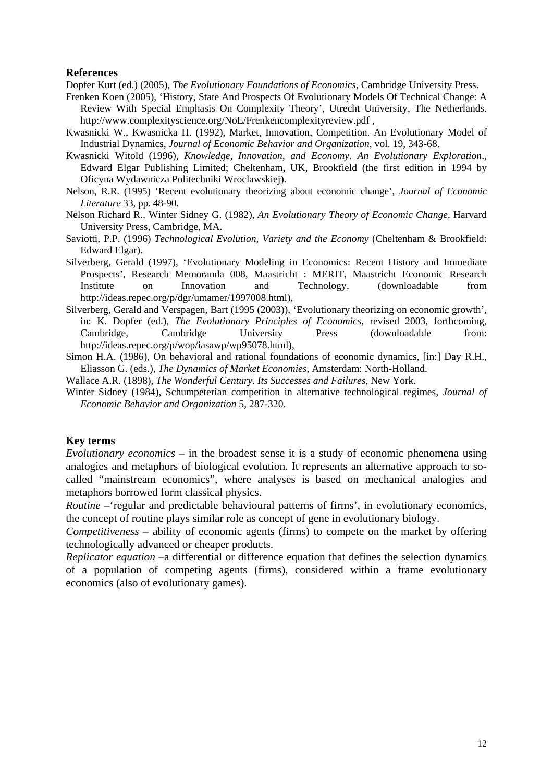### **References**

Dopfer Kurt (ed.) (2005), *The Evolutionary Foundations of Economics*, Cambridge University Press.

- Frenken Koen (2005), 'History, State And Prospects Of Evolutionary Models Of Technical Change: A Review With Special Emphasis On Complexity Theory', Utrecht University, The Netherlands. http://www.complexityscience.org/NoE/Frenkencomplexityreview.pdf ,
- Kwasnicki W., Kwasnicka H. (1992), Market, Innovation, Competition. An Evolutionary Model of Industrial Dynamics, *Journal of Economic Behavior and Organization*, vol. 19, 343-68.
- Kwasnicki Witold (1996), *Knowledge, Innovation, and Economy. An Evolutionary Exploration*., Edward Elgar Publishing Limited; Cheltenham, UK, Brookfield (the first edition in 1994 by Oficyna Wydawnicza Politechniki Wroclawskiej).
- Nelson, R.R. (1995) 'Recent evolutionary theorizing about economic change', *Journal of Economic Literature* 33, pp. 48-90.
- Nelson Richard R., Winter Sidney G. (1982), *An Evolutionary Theory of Economic Change*, Harvard University Press, Cambridge, MA.
- Saviotti, P.P. (1996) *Technological Evolution, Variety and the Economy* (Cheltenham & Brookfield: Edward Elgar).
- Silverberg, Gerald (1997), 'Evolutionary Modeling in Economics: Recent History and Immediate Prospects', Research Memoranda 008, Maastricht : MERIT, Maastricht Economic Research Institute on Innovation and Technology, (downloadable from http://ideas.repec.org/p/dgr/umamer/1997008.html),
- Silverberg, Gerald and Verspagen, Bart (1995 (2003)), 'Evolutionary theorizing on economic growth', in: K. Dopfer (ed.), *The Evolutionary Principles of Economics*, revised 2003, forthcoming, Cambridge, Cambridge University Press (downloadable from: http://ideas.repec.org/p/wop/iasawp/wp95078.html),
- Simon H.A. (1986), On behavioral and rational foundations of economic dynamics, [in:] Day R.H., Eliasson G. (eds.), *The Dynamics of Market Economies*, Amsterdam: North-Holland.
- Wallace A.R. (1898), *The Wonderful Century. Its Successes and Failures*, New York.
- Winter Sidney (1984), Schumpeterian competition in alternative technological regimes, *Journal of Economic Behavior and Organization* 5, 287-320.

## **Key terms**

*Evolutionary economics* – in the broadest sense it is a study of economic phenomena using analogies and metaphors of biological evolution. It represents an alternative approach to socalled "mainstream economics", where analyses is based on mechanical analogies and metaphors borrowed form classical physics.

*Routine* –'regular and predictable behavioural patterns of firms', in evolutionary economics, the concept of routine plays similar role as concept of gene in evolutionary biology.

*Competitiveness* – ability of economic agents (firms) to compete on the market by offering technologically advanced or cheaper products.

*Replicator equation* –a differential or difference equation that defines the selection dynamics of a population of competing agents (firms), considered within a frame evolutionary economics (also of evolutionary games).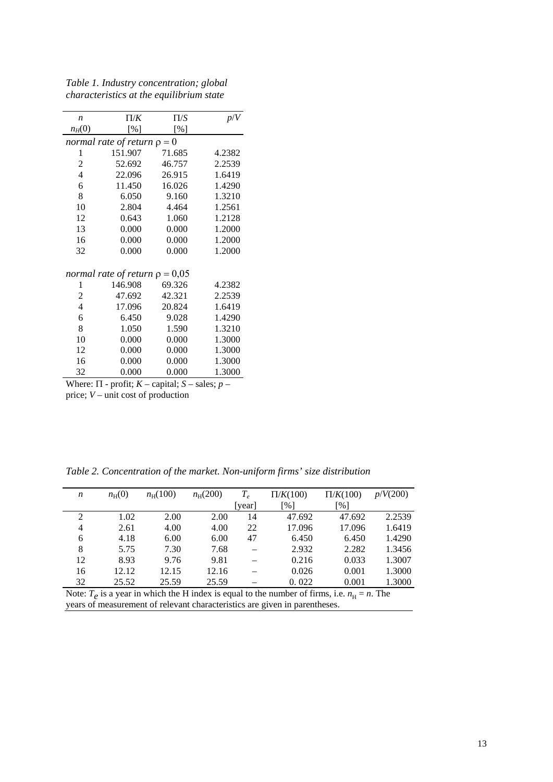| n                                | $\Pi/K$ | $\Pi/S$            | p/V    |  |  |  |  |  |
|----------------------------------|---------|--------------------|--------|--|--|--|--|--|
| $n_H(0)$                         | [%]     | $\lceil \% \rceil$ |        |  |  |  |  |  |
| normal rate of return $\rho = 0$ |         |                    |        |  |  |  |  |  |
| 1                                | 151.907 | 71.685             | 4.2382 |  |  |  |  |  |
| $\overline{c}$                   | 52.692  | 46.757             | 2.2539 |  |  |  |  |  |
| $\overline{4}$                   | 22.096  | 26.915             | 1.6419 |  |  |  |  |  |
| 6                                | 11.450  | 16.026             | 1.4290 |  |  |  |  |  |
| 8                                | 6.050   | 9.160              | 1.3210 |  |  |  |  |  |
| 10                               | 2.804   | 4.464              | 1.2561 |  |  |  |  |  |
| 12                               | 0.643   | 1.060              | 1.2128 |  |  |  |  |  |
| 13                               | 0.000   | 0.000              | 1.2000 |  |  |  |  |  |
| 16                               | 0.000   | 0.000              | 1.2000 |  |  |  |  |  |
| 32                               | 0.000   | 0.000              | 1.2000 |  |  |  |  |  |
|                                  |         |                    |        |  |  |  |  |  |
| normal rate of return $p = 0.05$ |         |                    |        |  |  |  |  |  |
| 1                                | 146.908 | 69.326             | 4.2382 |  |  |  |  |  |
| $\overline{2}$                   | 47.692  | 42.321             | 2.2539 |  |  |  |  |  |
| $\overline{4}$                   | 17.096  | 20.824             | 1.6419 |  |  |  |  |  |
| 6                                | 6.450   | 9.028              | 1.4290 |  |  |  |  |  |
| 8                                | 1.050   | 1.590              | 1.3210 |  |  |  |  |  |
| 10                               | 0.000   | 0.000              | 1.3000 |  |  |  |  |  |
| 12                               | 0.000   | 0.000              | 1.3000 |  |  |  |  |  |
| 16                               | 0.000   | 0.000              | 1.3000 |  |  |  |  |  |
| 32                               | 0.000   | 0.000              | 1.3000 |  |  |  |  |  |

*Table 1. Industry concentration; global characteristics at the equilibrium state*

Where:  $\Pi$  - profit;  $K$  – capital;  $S$  – sales;  $p$  – price; *V* – unit cost of production

*Table 2. Concentration of the market. Non-uniform firms' size distribution* 

| n             | $n_{\rm H}(0)$ | $n_{\rm H}(100)$ | $n_{\rm H}(200)$ | $T_{\it e}$ | $\Pi/K(100)$  | $\Pi/K(100)$ | p/V(200) |
|---------------|----------------|------------------|------------------|-------------|---------------|--------------|----------|
|               |                |                  |                  | [year]      | [%]           | [%]          |          |
| 2             | 1.02           | 2.00             | 2.00             | 14          | 47.692        | 47.692       | 2.2539   |
| 4             | 2.61           | 4.00             | 4.00             | 22          | 17.096        | 17.096       | 1.6419   |
| 6             | 4.18           | 6.00             | 6.00             | 47          | 6.450         | 6.450        | 1.4290   |
| 8             | 5.75           | 7.30             | 7.68             |             | 2.932         | 2.282        | 1.3456   |
| 12            | 8.93           | 9.76             | 9.81             |             | 0.216         | 0.033        | 1.3007   |
| 16            | 12.12          | 12.15            | 12.16            |             | 0.026         | 0.001        | 1.3000   |
| 32            | 25.52          | 25.59            | 25.59            |             | 0.022         | 0.001        | 1.3000   |
| $\sim$ $\sim$ |                |                  | $-  -$           |             | $\sim$ $\sim$ |              | --       |

Note:  $T_e$  is a year in which the H index is equal to the number of firms, i.e.  $n_H = n$ . The years of measurement of relevant characteristics are given in parentheses.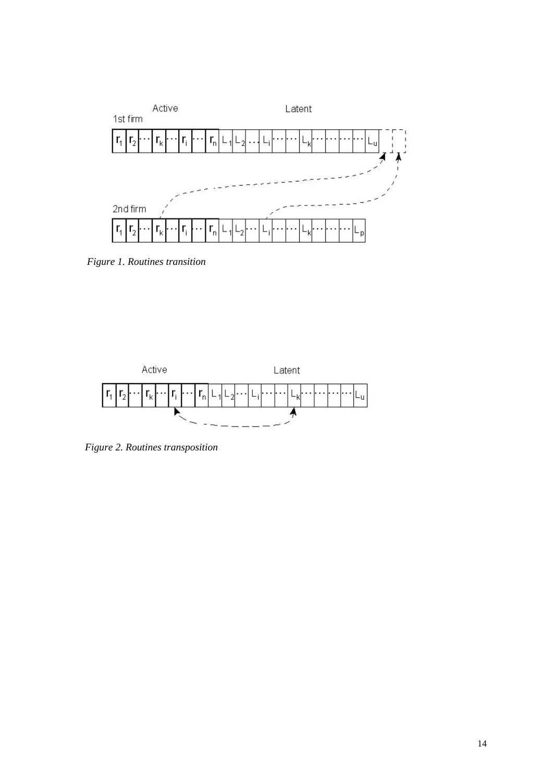

*Figure 1. Routines transition* 



*Figure 2. Routines transposition*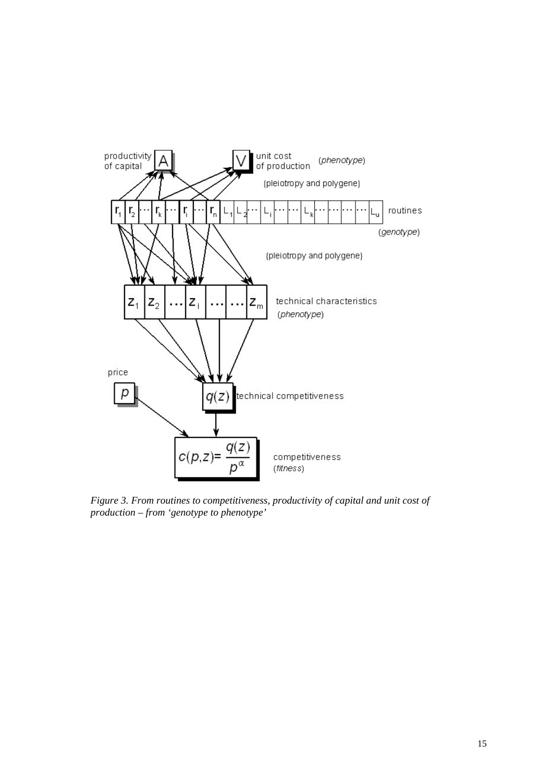

*Figure 3. From routines to competitiveness, productivity of capital and unit cost of production – from 'genotype to phenotype'*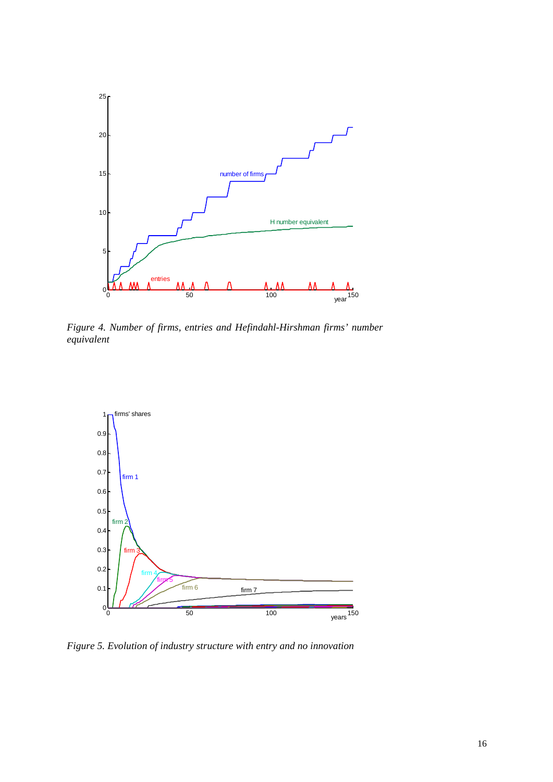

*Figure 4. Number of firms, entries and Hefindahl-Hirshman firms' number equivalent* 



*Figure 5. Evolution of industry structure with entry and no innovation*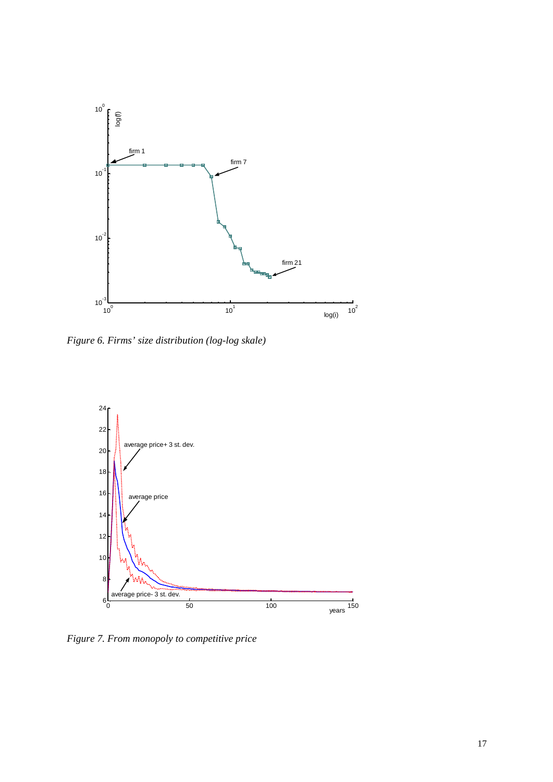

*Figure 6. Firms' size distribution (log-log skale)* 



*Figure 7. From monopoly to competitive price*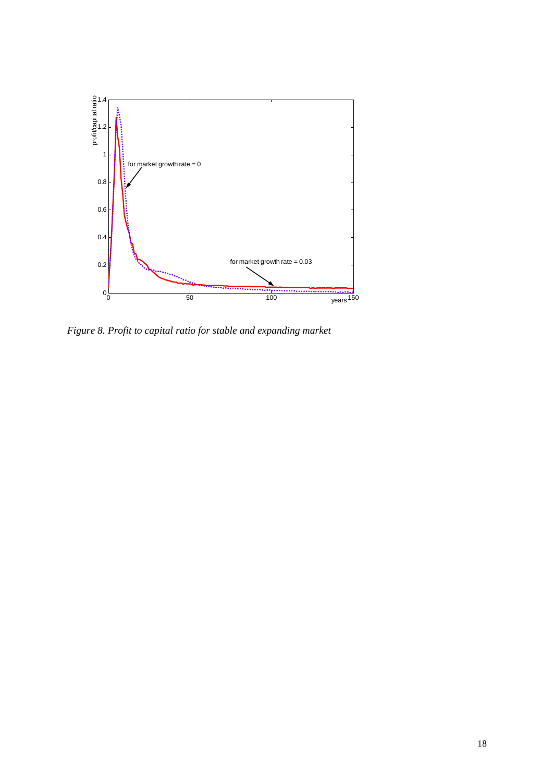

*Figure 8. Profit to capital ratio for stable and expanding market*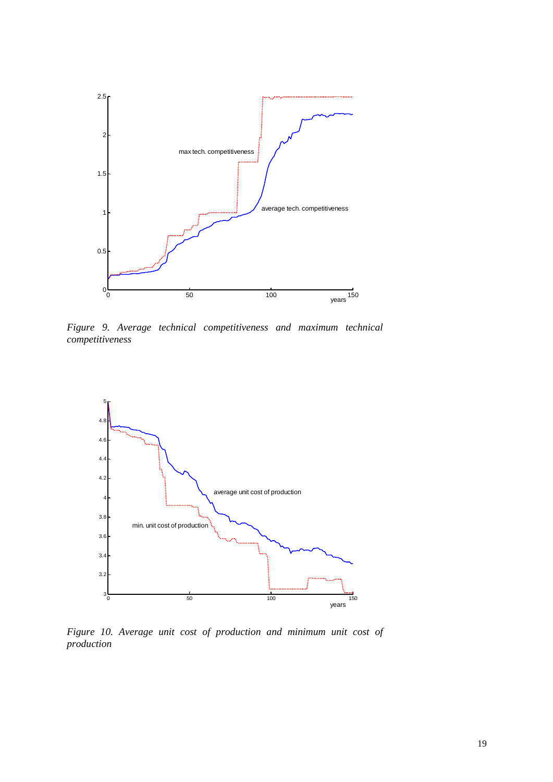

*Figure 9. Average technical competitiveness and maximum technical competitiveness* 



*Figure 10. Average unit cost of production and minimum unit cost of production*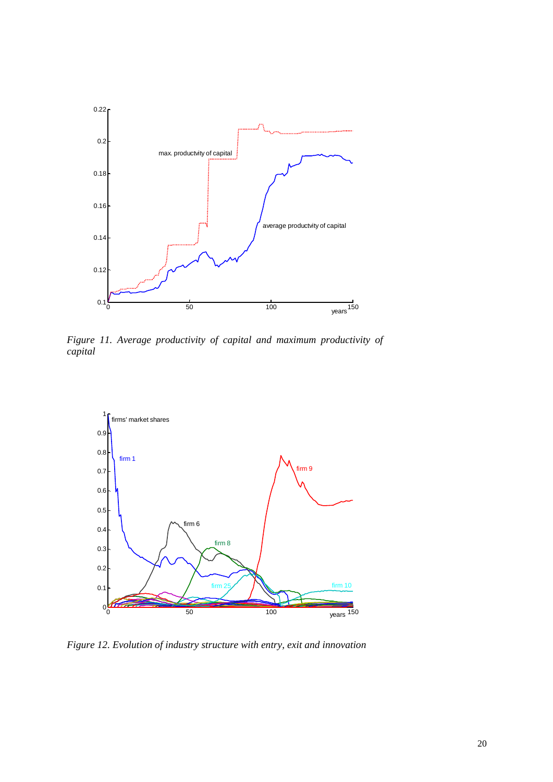

*Figure 11. Average productivity of capital and maximum productivity of capital* 



*Figure 12. Evolution of industry structure with entry, exit and innovation*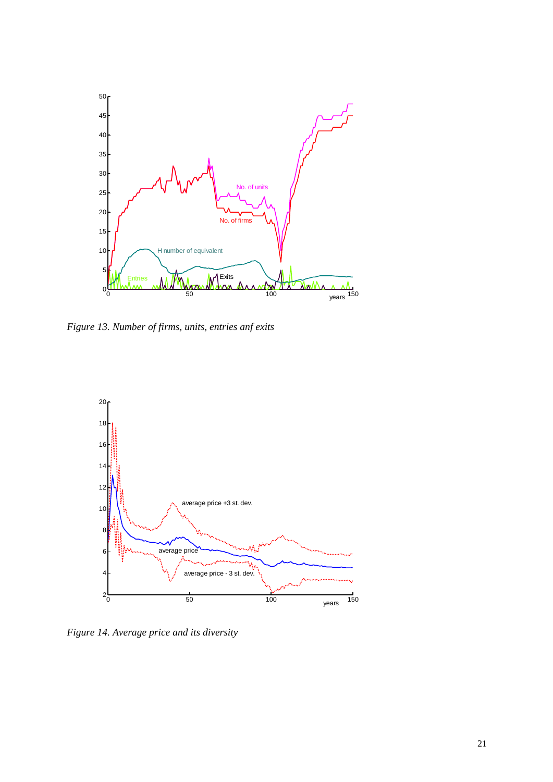

*Figure 13. Number of firms, units, entries anf exits* 



*Figure 14. Average price and its diversity*